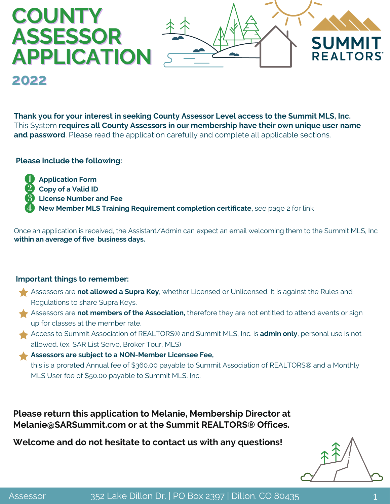

**Thank you for your interest in seeking County Assessor Level access to the Summit MLS, Inc.** This System **requires all County Assessors in our membership have their own unique user name and password**. Please read the application carefully and complete all applicable sections.

#### **Please include the following:**

**2022**

**Application Form Copy of a Valid ID License Number and Fee New Member MLS Training Requirement completion certificate,** see page 2 for link

Once an application is received, the Assistant/Admin can expect an email welcoming them to the Summit MLS, Inc **within an average of five business days.**

#### **Important things to remember:**

- Assessors are **not allowed a Supra Key**, whether Licensed or Unlicensed. It is against the Rules and Regulations to share Supra Keys.
- Assessors are **not members of the Association,** therefore they are not entitled to attend events or sign up for classes at the member rate.
- Access to Summit Association of REALTORS® and Summit MLS, Inc. is **admin only**, personal use is not allowed. (ex. SAR List Serve, Broker Tour, MLS)
- **Assessors are subject to a NON-Member Licensee Fee,** this is a prorated Annual fee of \$360.00 payable to Summit Association of REALTORS® and a Monthly MLS User fee of \$50.00 payable to Summit MLS, Inc.

**Please return this application to Melanie, Membership Director at Melanie@SARSummit.com or at the Summit REALTORS® Offices.**

**Welcome and do not hesitate to contact us with any questions!**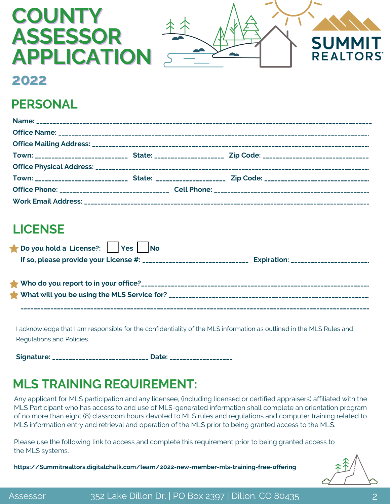# **COUNTY ASSESSOR APPLICATION**



### **2022**

## **PERSONAL**

# **LICENSE**

| Do you hold a License?: Yes No              |  |
|---------------------------------------------|--|
|                                             |  |
|                                             |  |
|                                             |  |
| What will you be using the MLS Service for? |  |

**\_\_\_\_\_\_\_\_\_\_\_\_\_\_\_\_\_\_\_\_\_\_\_\_\_\_\_\_\_\_\_\_\_\_\_\_\_\_\_\_\_\_\_\_\_\_\_\_\_\_\_\_\_\_\_\_\_\_\_\_\_\_\_\_\_\_\_\_\_\_\_\_\_\_\_\_\_\_\_\_\_\_\_\_\_\_\_\_\_\_\_\_\_\_\_\_\_\_\_\_\_\_\_\_\_\_**

I acknowledge that I am responsible for the confidentiality of the MLS information as outlined in the MLS Rules and Regulations and Policies.

**Signature: \_\_\_\_\_\_\_\_\_\_\_\_\_\_\_\_\_\_\_\_\_\_\_\_\_\_\_\_\_ Date: \_\_\_\_\_\_\_\_\_\_\_\_\_\_\_\_\_\_\_**

# **MLS TRAINING REQUIREMENT:**

Any applicant for MLS participation and any licensee, (including licensed or certified appraisers) affiliated with the MLS Participant who has access to and use of MLS-generated information shall complete an orientation program of no more than eight (8) classroom hours devoted to MLS rules and regulations and computer training related to MLS information entry and retrieval and operation of the MLS prior to being granted access to the MLS.

Please use the following link to access and complete this requirement prior to being granted access to the MLS systems.

**[https://Summitrealtors.digitalchalk.com/learn/2022-new-member-mls-training-free-offering](https://summitrealtors.digitalchalk.com/learn/2022-new-member-mls-training-free-offering)**

Assessor 352 Lake Dillon Dr. | PO Box 2397 | Dillon. CO 80435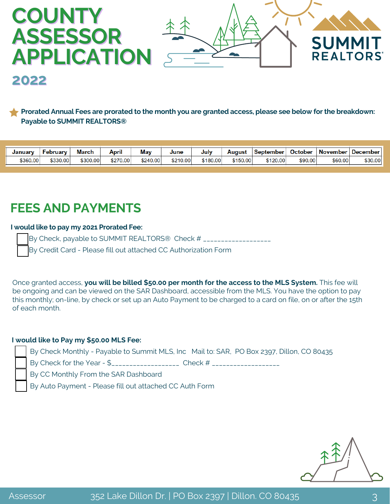

Prorated Annual Fees are prorated to the month you are granted access, please see below for the breakdown: **Payable to SUMMIT REALTORS®**

| .<br>May<br><b>March</b><br>. .<br><b>October</b><br>April<br>June<br>February<br>Julv<br>September<br>Januarv<br>August |            |                 |
|--------------------------------------------------------------------------------------------------------------------------|------------|-----------------|
|                                                                                                                          | November l | <b>December</b> |
| \$360.00<br>\$150.00<br>\$270.00<br>\$120.00<br>\$330.00<br>\$210.00<br>\$90.00<br>\$300.00<br>\$240.00<br>\$180.00      | \$60.00    | \$30.00         |

# **FEES AND PAYMENTS**

#### **I would like to pay my 2021 Prorated Fee:**

By Check, payable to SUMMIT REALTORS® Check # \_\_\_\_\_\_\_\_\_\_\_\_\_\_\_\_\_\_\_ By Credit Card - Please fill out attached CC Authorization Form

Once granted access, **you will be billed \$50.00 per month for the access to the MLS System.** This fee will be ongoing and can be viewed on the SAR Dashboard, accessible from the MLS. You have the option to pay this monthly; on-line, by check or set up an Auto Payment to be charged to a card on file, on or after the 15th of each month.

#### **I would like to Pay my \$50.00 MLS Fee:**

By Check Monthly - Payable to Summit MLS, Inc Mail to: SAR, PO Box 2397, Dillon, CO 80435

By Check for the Year - \$\_\_\_\_\_\_\_\_\_\_\_\_\_\_\_\_\_\_\_\_\_\_ Check # \_\_\_\_\_\_\_\_\_\_\_\_\_\_\_\_\_\_\_\_\_\_\_\_

By CC Monthly From the SAR Dashboard

By Auto Payment - Please fill out attached CC Auth Form